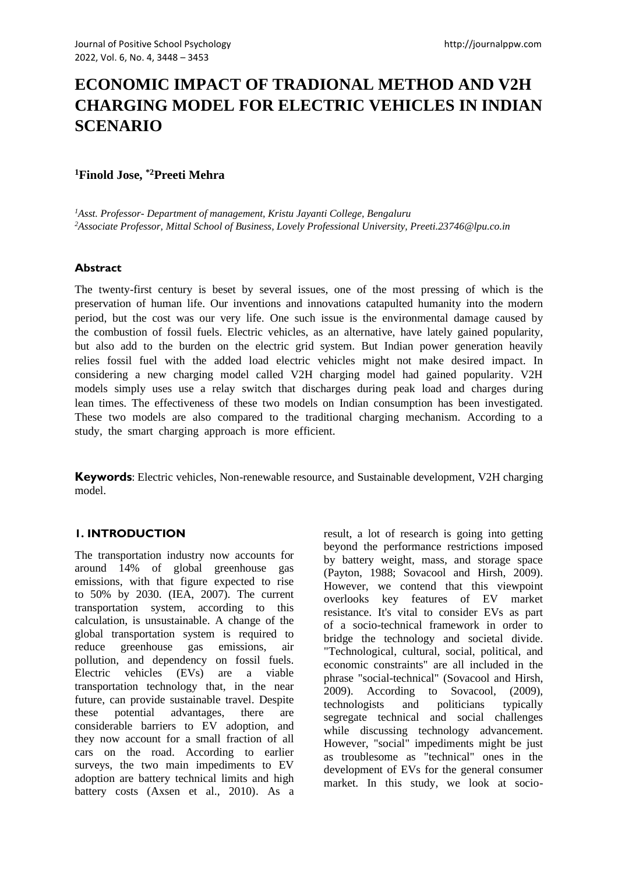# **ECONOMIC IMPACT OF TRADIONAL METHOD AND V2H CHARGING MODEL FOR ELECTRIC VEHICLES IN INDIAN SCENARIO**

## **<sup>1</sup>Finold Jose, \*2Preeti Mehra**

*<sup>1</sup>Asst. Professor- Department of management, Kristu Jayanti College, Bengaluru <sup>2</sup>Associate Professor, Mittal School of Business, Lovely Professional University, Preeti.23746@lpu.co.in*

## **Abstract**

The twenty-first century is beset by several issues, one of the most pressing of which is the preservation of human life. Our inventions and innovations catapulted humanity into the modern period, but the cost was our very life. One such issue is the environmental damage caused by the combustion of fossil fuels. Electric vehicles, as an alternative, have lately gained popularity, but also add to the burden on the electric grid system. But Indian power generation heavily relies fossil fuel with the added load electric vehicles might not make desired impact. In considering a new charging model called V2H charging model had gained popularity. V2H models simply uses use a relay switch that discharges during peak load and charges during lean times. The effectiveness of these two models on Indian consumption has been investigated. These two models are also compared to the traditional charging mechanism. According to a study, the smart charging approach is more efficient.

**Keywords**: Electric vehicles, Non-renewable resource, and Sustainable development, V2H charging model.

## **1. INTRODUCTION**

The transportation industry now accounts for around 14% of global greenhouse gas emissions, with that figure expected to rise to 50% by 2030. (IEA, 2007). The current transportation system, according to this calculation, is unsustainable. A change of the global transportation system is required to reduce greenhouse gas emissions, air pollution, and dependency on fossil fuels. Electric vehicles (EVs) are a viable transportation technology that, in the near future, can provide sustainable travel. Despite these potential advantages, there are considerable barriers to EV adoption, and they now account for a small fraction of all cars on the road. According to earlier surveys, the two main impediments to EV adoption are battery technical limits and high battery costs (Axsen et al., 2010). As a

result, a lot of research is going into getting beyond the performance restrictions imposed by battery weight, mass, and storage space (Payton, 1988; Sovacool and Hirsh, 2009). However, we contend that this viewpoint overlooks key features of EV market resistance. It's vital to consider EVs as part of a socio-technical framework in order to bridge the technology and societal divide. "Technological, cultural, social, political, and economic constraints" are all included in the phrase "social-technical" (Sovacool and Hirsh, 2009). According to Sovacool, (2009), technologists and politicians typically segregate technical and social challenges while discussing technology advancement. However, "social" impediments might be just as troublesome as "technical" ones in the development of EVs for the general consumer market. In this study, we look at socio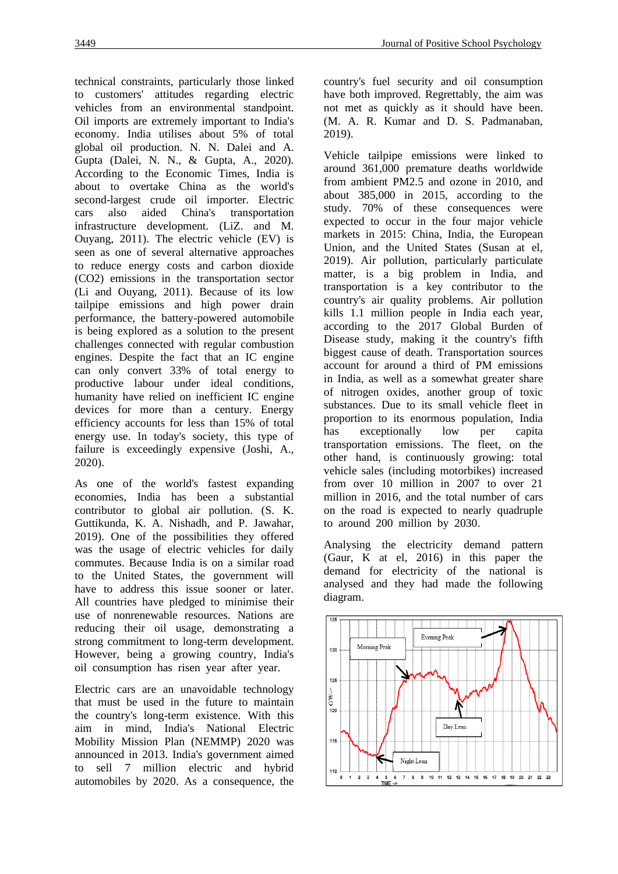technical constraints, particularly those linked to customers' attitudes regarding electric vehicles from an environmental standpoint. Oil imports are extremely important to India's economy. India utilises about 5% of total global oil production. N. N. Dalei and A. Gupta (Dalei, N. N., & Gupta, A., 2020). According to the Economic Times, India is about to overtake China as the world's second-largest crude oil importer. Electric cars also aided China's transportation infrastructure development. (LiZ. and M. Ouyang, 2011). The electric vehicle (EV) is seen as one of several alternative approaches to reduce energy costs and carbon dioxide (CO2) emissions in the transportation sector (Li and Ouyang, 2011). Because of its low tailpipe emissions and high power drain performance, the battery-powered automobile is being explored as a solution to the present challenges connected with regular combustion engines. Despite the fact that an IC engine can only convert 33% of total energy to productive labour under ideal conditions, humanity have relied on inefficient IC engine devices for more than a century. Energy efficiency accounts for less than 15% of total energy use. In today's society, this type of failure is exceedingly expensive (Joshi, A., 2020).

As one of the world's fastest expanding economies, India has been a substantial contributor to global air pollution. (S. K. Guttikunda, K. A. Nishadh, and P. Jawahar, 2019). One of the possibilities they offered was the usage of electric vehicles for daily commutes. Because India is on a similar road to the United States, the government will have to address this issue sooner or later. All countries have pledged to minimise their use of nonrenewable resources. Nations are reducing their oil usage, demonstrating a strong commitment to long-term development. However, being a growing country, India's oil consumption has risen year after year.

Electric cars are an unavoidable technology that must be used in the future to maintain the country's long-term existence. With this aim in mind, India's National Electric Mobility Mission Plan (NEMMP) 2020 was announced in 2013. India's government aimed to sell 7 million electric and hybrid automobiles by 2020. As a consequence, the

country's fuel security and oil consumption have both improved. Regrettably, the aim was not met as quickly as it should have been. (M. A. R. Kumar and D. S. Padmanaban, 2019).

Vehicle tailpipe emissions were linked to around 361,000 premature deaths worldwide from ambient PM2.5 and ozone in 2010, and about 385,000 in 2015, according to the study. 70% of these consequences were expected to occur in the four major vehicle markets in 2015: China, India, the European Union, and the United States (Susan at el, 2019). Air pollution, particularly particulate matter, is a big problem in India, and transportation is a key contributor to the country's air quality problems. Air pollution kills 1.1 million people in India each year, according to the 2017 Global Burden of Disease study, making it the country's fifth biggest cause of death. Transportation sources account for around a third of PM emissions in India, as well as a somewhat greater share of nitrogen oxides, another group of toxic substances. Due to its small vehicle fleet in proportion to its enormous population, India has exceptionally low per capita transportation emissions. The fleet, on the other hand, is continuously growing: total vehicle sales (including motorbikes) increased from over 10 million in 2007 to over 21 million in 2016, and the total number of cars on the road is expected to nearly quadruple to around 200 million by 2030.

Analysing the electricity demand pattern (Gaur, K at el, 2016) in this paper the demand for electricity of the national is analysed and they had made the following diagram.

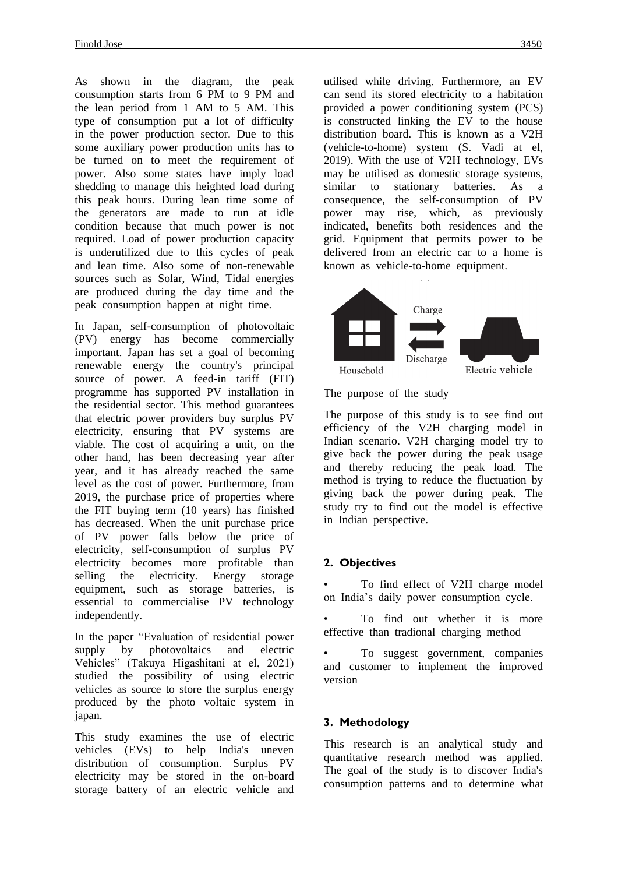As shown in the diagram, the peak consumption starts from 6 PM to 9 PM and the lean period from 1 AM to 5 AM. This type of consumption put a lot of difficulty in the power production sector. Due to this some auxiliary power production units has to be turned on to meet the requirement of power. Also some states have imply load shedding to manage this heighted load during this peak hours. During lean time some of the generators are made to run at idle condition because that much power is not required. Load of power production capacity is underutilized due to this cycles of peak and lean time. Also some of non-renewable sources such as Solar, Wind, Tidal energies are produced during the day time and the peak consumption happen at night time.

In Japan, self-consumption of photovoltaic (PV) energy has become commercially important. Japan has set a goal of becoming renewable energy the country's principal source of power. A feed-in tariff (FIT) programme has supported PV installation in the residential sector. This method guarantees that electric power providers buy surplus PV electricity, ensuring that PV systems are viable. The cost of acquiring a unit, on the other hand, has been decreasing year after year, and it has already reached the same level as the cost of power. Furthermore, from 2019, the purchase price of properties where the FIT buying term (10 years) has finished has decreased. When the unit purchase price of PV power falls below the price of electricity, self-consumption of surplus PV electricity becomes more profitable than selling the electricity. Energy storage equipment, such as storage batteries, is essential to commercialise PV technology independently.

In the paper "Evaluation of residential power supply by photovoltaics and electric Vehicles" (Takuya Higashitani at el, 2021) studied the possibility of using electric vehicles as source to store the surplus energy produced by the photo voltaic system in japan.

This study examines the use of electric vehicles (EVs) to help India's uneven distribution of consumption. Surplus PV electricity may be stored in the on-board storage battery of an electric vehicle and utilised while driving. Furthermore, an EV can send its stored electricity to a habitation provided a power conditioning system (PCS) is constructed linking the EV to the house distribution board. This is known as a V2H (vehicle-to-home) system (S. Vadi at el, 2019). With the use of V2H technology, EVs may be utilised as domestic storage systems, similar to stationary batteries. As a consequence, the self-consumption of PV power may rise, which, as previously indicated, benefits both residences and the grid. Equipment that permits power to be delivered from an electric car to a home is known as vehicle-to-home equipment.



The purpose of the study

The purpose of this study is to see find out efficiency of the V2H charging model in Indian scenario. V2H charging model try to give back the power during the peak usage and thereby reducing the peak load. The method is trying to reduce the fluctuation by giving back the power during peak. The study try to find out the model is effective in Indian perspective.

## **2. Objectives**

To find effect of V2H charge model on India's daily power consumption cycle.

To find out whether it is more effective than tradional charging method

• To suggest government, companies and customer to implement the improved version

## **3. Methodology**

This research is an analytical study and quantitative research method was applied. The goal of the study is to discover India's consumption patterns and to determine what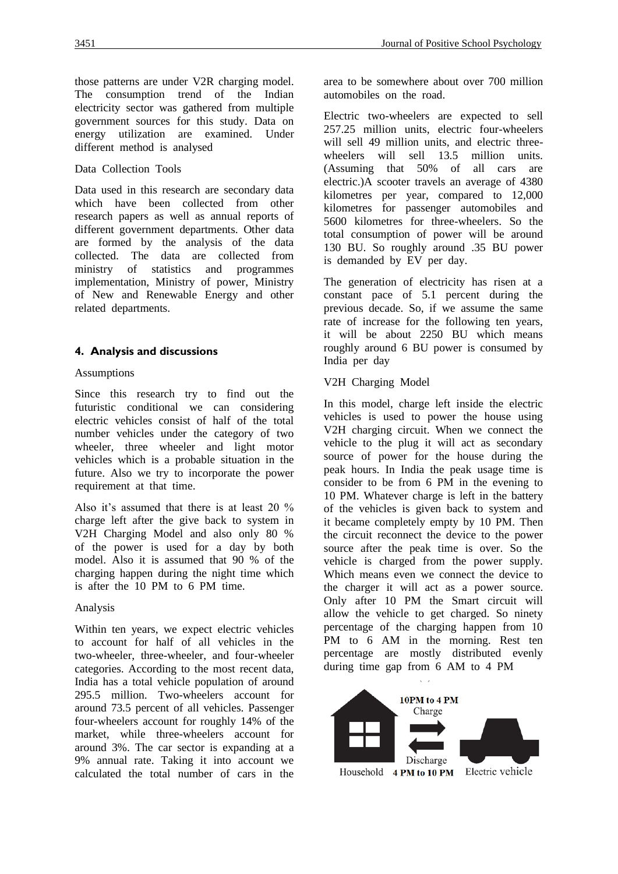#### Data Collection Tools

Data used in this research are secondary data which have been collected from other research papers as well as annual reports of different government departments. Other data are formed by the analysis of the data collected. The data are collected from ministry of statistics and programmes implementation, Ministry of power, Ministry of New and Renewable Energy and other related departments.

## **4. Analysis and discussions**

#### Assumptions

Since this research try to find out the futuristic conditional we can considering electric vehicles consist of half of the total number vehicles under the category of two wheeler, three wheeler and light motor vehicles which is a probable situation in the future. Also we try to incorporate the power requirement at that time.

Also it's assumed that there is at least 20 % charge left after the give back to system in V2H Charging Model and also only 80 % of the power is used for a day by both model. Also it is assumed that 90 % of the charging happen during the night time which is after the 10 PM to 6 PM time.

#### Analysis

Within ten years, we expect electric vehicles to account for half of all vehicles in the two-wheeler, three-wheeler, and four-wheeler categories. According to the most recent data, India has a total vehicle population of around 295.5 million. Two-wheelers account for around 73.5 percent of all vehicles. Passenger four-wheelers account for roughly 14% of the market, while three-wheelers account for around 3%. The car sector is expanding at a 9% annual rate. Taking it into account we calculated the total number of cars in the

area to be somewhere about over 700 million automobiles on the road.

Electric two-wheelers are expected to sell 257.25 million units, electric four-wheelers will sell 49 million units, and electric threewheelers will sell 13.5 million units. (Assuming that 50% of all cars are electric.)A scooter travels an average of 4380 kilometres per year, compared to 12,000 kilometres for passenger automobiles and 5600 kilometres for three-wheelers. So the total consumption of power will be around 130 BU. So roughly around .35 BU power is demanded by EV per day.

The generation of electricity has risen at a constant pace of 5.1 percent during the previous decade. So, if we assume the same rate of increase for the following ten years, it will be about 2250 BU which means roughly around 6 BU power is consumed by India per day

#### V2H Charging Model

In this model, charge left inside the electric vehicles is used to power the house using V2H charging circuit. When we connect the vehicle to the plug it will act as secondary source of power for the house during the peak hours. In India the peak usage time is consider to be from 6 PM in the evening to 10 PM. Whatever charge is left in the battery of the vehicles is given back to system and it became completely empty by 10 PM. Then the circuit reconnect the device to the power source after the peak time is over. So the vehicle is charged from the power supply. Which means even we connect the device to the charger it will act as a power source. Only after 10 PM the Smart circuit will allow the vehicle to get charged. So ninety percentage of the charging happen from 10 PM to 6 AM in the morning. Rest ten percentage are mostly distributed evenly during time gap from 6 AM to 4 PM

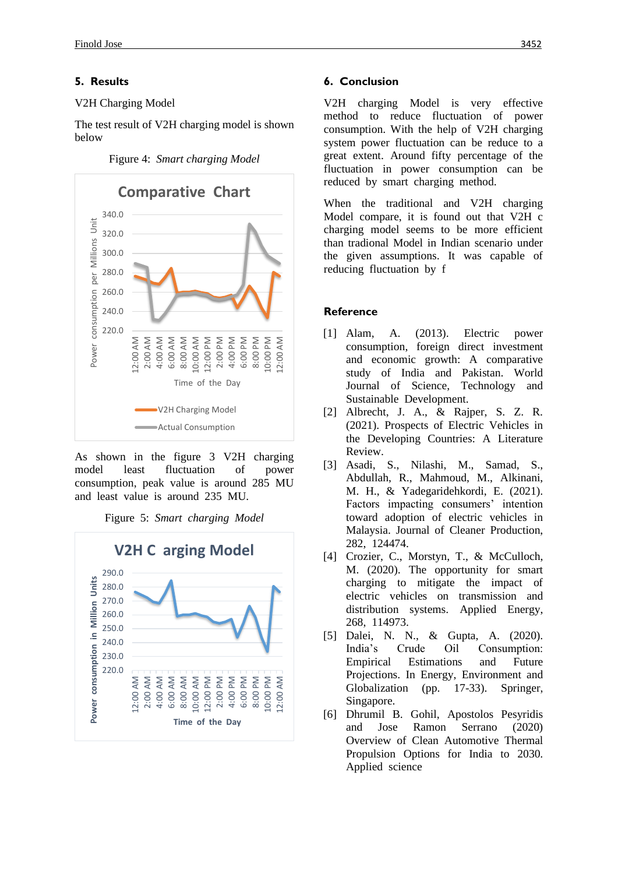#### **5. Results**

#### V2H Charging Model

The test result of V2H charging model is shown below

Figure 4: *Smart charging Model*



As shown in the figure 3 V2H charging model least fluctuation of power consumption, peak value is around 285 MU and least value is around 235 MU.



Figure 5: *Smart charging Model*

### **6. Conclusion**

V2H charging Model is very effective method to reduce fluctuation of power consumption. With the help of V2H charging system power fluctuation can be reduce to a great extent. Around fifty percentage of the fluctuation in power consumption can be reduced by smart charging method.

When the traditional and V2H charging Model compare, it is found out that V2H c charging model seems to be more efficient than tradional Model in Indian scenario under the given assumptions. It was capable of reducing fluctuation by f

### **Reference**

- [1] Alam, A. (2013). Electric power consumption, foreign direct investment and economic growth: A comparative study of India and Pakistan. World Journal of Science, Technology and Sustainable Development.
- [2] Albrecht, J. A., & Rajper, S. Z. R. (2021). Prospects of Electric Vehicles in the Developing Countries: A Literature Review.
- [3] Asadi, S., Nilashi, M., Samad, S., Abdullah, R., Mahmoud, M., Alkinani, M. H., & Yadegaridehkordi, E. (2021). Factors impacting consumers' intention toward adoption of electric vehicles in Malaysia. Journal of Cleaner Production, 282, 124474.
- [4] Crozier, C., Morstyn, T., & McCulloch, M. (2020). The opportunity for smart charging to mitigate the impact of electric vehicles on transmission and distribution systems. Applied Energy, 268, 114973.
- [5] Dalei, N. N., & Gupta, A. (2020). India's Crude Oil Consumption: Empirical Estimations and Future Projections. In Energy, Environment and Globalization (pp. 17-33). Springer, Singapore.
- [6] Dhrumil B. Gohil, Apostolos Pesyridis and Jose Ramon Serrano (2020) Overview of Clean Automotive Thermal Propulsion Options for India to 2030. Applied science